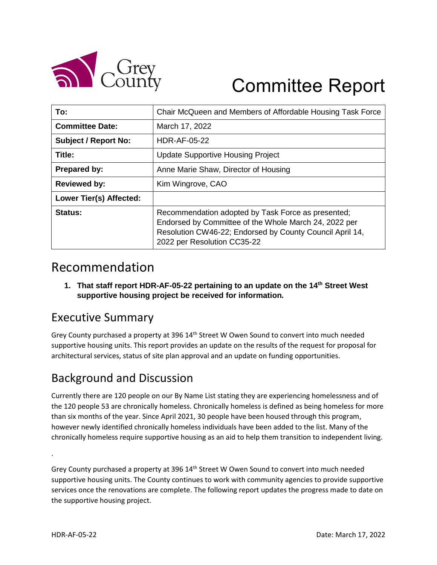

# Committee Report

| To:                         | Chair McQueen and Members of Affordable Housing Task Force                                                                                                                                             |
|-----------------------------|--------------------------------------------------------------------------------------------------------------------------------------------------------------------------------------------------------|
| <b>Committee Date:</b>      | March 17, 2022                                                                                                                                                                                         |
| <b>Subject / Report No:</b> | <b>HDR-AF-05-22</b>                                                                                                                                                                                    |
| Title:                      | <b>Update Supportive Housing Project</b>                                                                                                                                                               |
| Prepared by:                | Anne Marie Shaw, Director of Housing                                                                                                                                                                   |
| <b>Reviewed by:</b>         | Kim Wingrove, CAO                                                                                                                                                                                      |
| Lower Tier(s) Affected:     |                                                                                                                                                                                                        |
| Status:                     | Recommendation adopted by Task Force as presented;<br>Endorsed by Committee of the Whole March 24, 2022 per<br>Resolution CW46-22; Endorsed by County Council April 14,<br>2022 per Resolution CC35-22 |

# Recommendation

**1. That staff report HDR-AF-05-22 pertaining to an update on the 14th Street West supportive housing project be received for information.**

## Executive Summary

Grey County purchased a property at 396  $14<sup>th</sup>$  Street W Owen Sound to convert into much needed supportive housing units. This report provides an update on the results of the request for proposal for architectural services, status of site plan approval and an update on funding opportunities.

## Background and Discussion

Currently there are 120 people on our By Name List stating they are experiencing homelessness and of the 120 people 53 are chronically homeless. Chronically homeless is defined as being homeless for more than six months of the year. Since April 2021, 30 people have been housed through this program, however newly identified chronically homeless individuals have been added to the list. Many of the chronically homeless require supportive housing as an aid to help them transition to independent living.

Grey County purchased a property at 396  $14<sup>th</sup>$  Street W Owen Sound to convert into much needed supportive housing units. The County continues to work with community agencies to provide supportive services once the renovations are complete. The following report updates the progress made to date on the supportive housing project.

.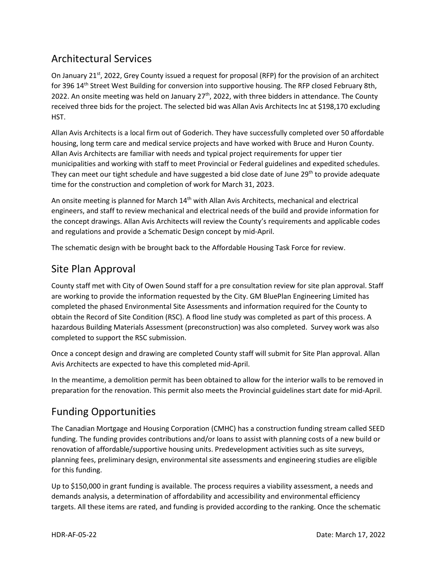#### Architectural Services

On January 21<sup>st</sup>, 2022, Grey County issued a request for proposal (RFP) for the provision of an architect for 396 14th Street West Building for conversion into supportive housing. The RFP closed February 8th, 2022. An onsite meeting was held on January 27<sup>th</sup>, 2022, with three bidders in attendance. The County received three bids for the project. The selected bid was Allan Avis Architects Inc at \$198,170 excluding HST.

Allan Avis Architects is a local firm out of Goderich. They have successfully completed over 50 affordable housing, long term care and medical service projects and have worked with Bruce and Huron County. Allan Avis Architects are familiar with needs and typical project requirements for upper tier municipalities and working with staff to meet Provincial or Federal guidelines and expedited schedules. They can meet our tight schedule and have suggested a bid close date of June 29<sup>th</sup> to provide adequate time for the construction and completion of work for March 31, 2023.

An onsite meeting is planned for March 14<sup>th</sup> with Allan Avis Architects, mechanical and electrical engineers, and staff to review mechanical and electrical needs of the build and provide information for the concept drawings. Allan Avis Architects will review the County's requirements and applicable codes and regulations and provide a Schematic Design concept by mid-April.

The schematic design with be brought back to the Affordable Housing Task Force for review.

#### Site Plan Approval

County staff met with City of Owen Sound staff for a pre consultation review for site plan approval. Staff are working to provide the information requested by the City. GM BluePlan Engineering Limited has completed the phased Environmental Site Assessments and information required for the County to obtain the Record of Site Condition (RSC). A flood line study was completed as part of this process. A hazardous Building Materials Assessment (preconstruction) was also completed. Survey work was also completed to support the RSC submission.

Once a concept design and drawing are completed County staff will submit for Site Plan approval. Allan Avis Architects are expected to have this completed mid-April.

In the meantime, a demolition permit has been obtained to allow for the interior walls to be removed in preparation for the renovation. This permit also meets the Provincial guidelines start date for mid-April.

#### Funding Opportunities

The Canadian Mortgage and Housing Corporation (CMHC) has a construction funding stream called SEED funding. The funding provides contributions and/or loans to assist with planning costs of a new build or renovation of affordable/supportive housing units. Predevelopment activities such as site surveys, planning fees, preliminary design, environmental site assessments and engineering studies are eligible for this funding.

Up to \$150,000 in grant funding is available. The process requires a viability assessment, a needs and demands analysis, a determination of affordability and accessibility and environmental efficiency targets. All these items are rated, and funding is provided according to the ranking. Once the schematic